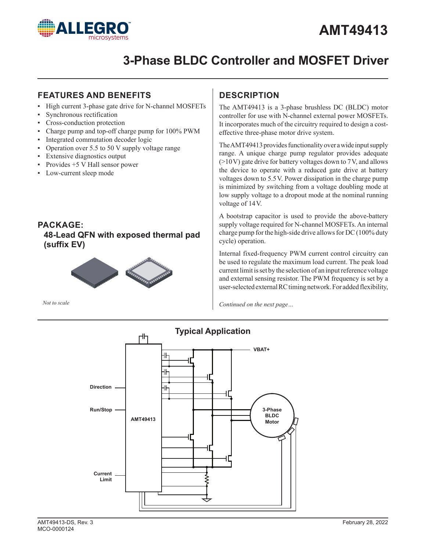

## **3-Phase BLDC Controller and MOSFET Driver**

## **FEATURES AND BENEFITS**

- ▪ High current 3-phase gate drive for N-channel MOSFETs
- ▪ Synchronous rectification
- Cross-conduction protection
- Charge pump and top-off charge pump for 100% PWM
- Integrated commutation decoder logic
- Operation over 5.5 to 50 V supply voltage range
- Extensive diagnostics output
- Provides  $+5$  V Hall sensor power
- Low-current sleep mode

## **PACKAGE: 48-Lead QFN with exposed thermal pad (suffix EV)**



*Not to scale*

## **DESCRIPTION**

The AMT49413 is a 3-phase brushless DC (BLDC) motor controller for use with N-channel external power MOSFETs. It incorporates much of the circuitry required to design a costeffective three-phase motor drive system.

The AMT49413 provides functionality over a wide input supply range. A unique charge pump regulator provides adequate  $(>10V)$  gate drive for battery voltages down to 7V, and allows the device to operate with a reduced gate drive at battery voltages down to 5.5V. Power dissipation in the charge pump is minimized by switching from a voltage doubling mode at low supply voltage to a dropout mode at the nominal running voltage of 14V.

A bootstrap capacitor is used to provide the above-battery supply voltage required for N-channel MOSFETs. An internal charge pump for the high-side drive allows for DC (100% duty cycle) operation.

Internal fixed-frequency PWM current control circuitry can be used to regulate the maximum load current. The peak load current limit is set by the selection of an input reference voltage and external sensing resistor. The PWM frequency is set by a user-selected external RC timing network. For added flexibility,

*Continued on the next page…*

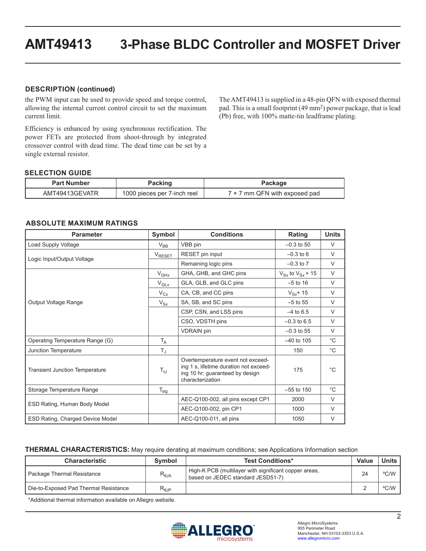#### **DESCRIPTION (continued)**

the PWM input can be used to provide speed and torque control, allowing the internal current control circuit to set the maximum current limit.

Efficiency is enhanced by using synchronous rectification. The power FETs are protected from shoot-through by integrated crossover control with dead time. The dead time can be set by a single external resistor.

The AMT49413 is supplied in a 48-pin QFN with exposed thermal pad. This is a small footprint (49 mm2) power package, that is lead (Pb) free, with 100% matte-tin leadframe plating.

#### **SELECTION GUIDE**

| <b>Part Number</b> | Packing                     | Package                       |
|--------------------|-----------------------------|-------------------------------|
| AMT49413GEVATR     | 1000 pieces per 7-inch reel | 7 × 7 mm QFN with exposed pad |

#### **ABSOLUTE MAXIMUM RATINGS**

| <b>Parameter</b>                        | Symbol                  | <b>Conditions</b>                                                                                                                  | Rating                    | <b>Units</b> |
|-----------------------------------------|-------------------------|------------------------------------------------------------------------------------------------------------------------------------|---------------------------|--------------|
| Load Supply Voltage                     | $V_{BB}$                | VBB pin                                                                                                                            | $-0.3$ to 50              | V            |
|                                         | V <sub>RESET</sub>      | RESET pin input                                                                                                                    | $-0.3$ to 6               | $\vee$       |
| Logic Input/Output Voltage              |                         | Remaining logic pins                                                                                                               | $-0.3$ to $7$             | $\vee$       |
|                                         | $V_{GHx}$               | GHA, GHB, and GHC pins                                                                                                             | $V_{Sx}$ to $V_{Sx}$ + 15 | $\vee$       |
|                                         | $V_{GLX}$               | GLA, GLB, and GLC pins                                                                                                             | $-5$ to 16                | $\vee$       |
|                                         | $V_{Cx}$                | CA, CB, and CC pins                                                                                                                | $V_{Sx}$ + 15             | $\vee$       |
| Output Voltage Range                    | $V_{Sx}$                | SA, SB, and SC pins                                                                                                                | $-5$ to 55                | $\vee$       |
|                                         |                         | CSP, CSN, and LSS pins                                                                                                             | $-4$ to 6.5               | V            |
|                                         |                         | CSO, VDSTH pins                                                                                                                    | $-0.3$ to 6.5             | $\vee$       |
|                                         |                         | <b>VDRAIN</b> pin                                                                                                                  | $-0.3$ to 55              | $\vee$       |
| Operating Temperature Range (G)         | $T_A$                   |                                                                                                                                    | $-40$ to 105              | $^{\circ}C$  |
| Junction Temperature                    | $\mathsf{T}_\mathrm{J}$ |                                                                                                                                    | 150                       | $^{\circ}$ C |
| <b>Transient Junction Temperature</b>   | $T_{tJ}$                | Overtemperature event not exceed-<br>ing 1 s, lifetime duration not exceed-<br>ing 10 hr; guaranteed by design<br>characterization | 175                       | $^{\circ}C$  |
| Storage Temperature Range               | $T_{\text{stg}}$        |                                                                                                                                    | $-55$ to 150              | $^{\circ}C$  |
|                                         |                         | AEC-Q100-002, all pins except CP1                                                                                                  | 2000                      | $\vee$       |
| ESD Rating, Human Body Model            |                         | AEC-Q100-002, pin CP1                                                                                                              | 1000                      | $\vee$       |
| <b>ESD Rating, Charged Device Model</b> |                         | AEC-Q100-011, all pins                                                                                                             | 1050                      | $\vee$       |

#### **THERMAL CHARACTERISTICS:** May require derating at maximum conditions; see Applications Information section

| <b>Characteristic</b>                 | <b>Symbol</b>                    | <b>Test Conditions*</b>                                                                    | Value | <b>Units</b> |
|---------------------------------------|----------------------------------|--------------------------------------------------------------------------------------------|-------|--------------|
| Package Thermal Resistance            | $R_{\theta JA}$                  | High-K PCB (multilayer with significant copper areas,<br>based on JEDEC standard JESD51-7) | 24    | °C/W         |
| Die-to-Exposed Pad Thermal Resistance | $\mathsf{R}_{\theta\mathsf{JP}}$ |                                                                                            |       | °C/W         |

\*Additional thermal information available on Allegro website.

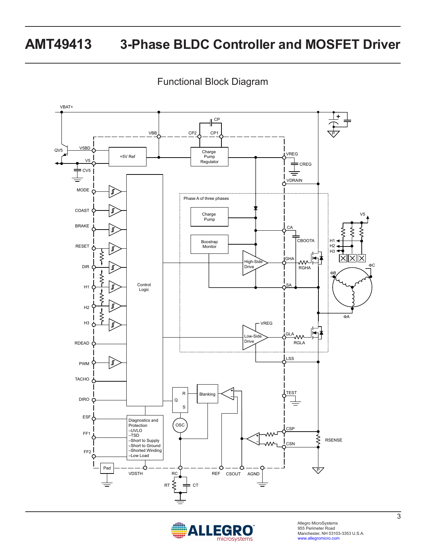Functional Block Diagram



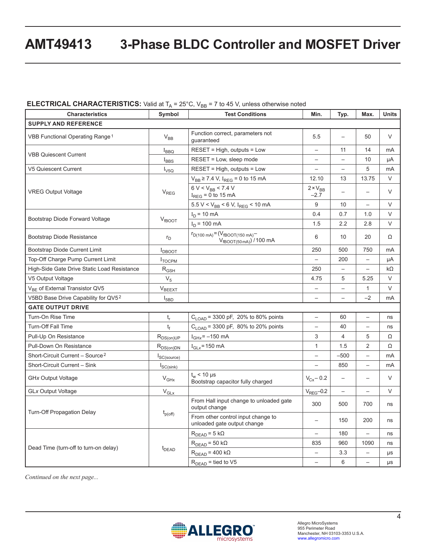#### **ELECTRICAL CHARACTERISTICS:** Valid at  $T_A = 25^\circ C$ , V<sub>BB</sub> = 7 to 45 V, unless otherwise noted

| <b>Characteristics</b>                      | Symbol           | <b>Test Conditions</b>                                              | Min.                        | Typ.                     | Max.                     | <b>Units</b> |
|---------------------------------------------|------------------|---------------------------------------------------------------------|-----------------------------|--------------------------|--------------------------|--------------|
| <b>SUPPLY AND REFERENCE</b>                 |                  |                                                                     |                             |                          |                          |              |
| VBB Functional Operating Range <sup>1</sup> | $V_{BB}$         | Function correct, parameters not<br>quaranteed                      | 5.5                         | $\overline{\phantom{0}}$ | 50                       | V            |
|                                             | $I_{\text{BBQ}}$ | $RESET = High$ , outputs = Low                                      | $\overline{\phantom{0}}$    | 11                       | 14                       | mA           |
| <b>VBB Quiescent Current</b>                | $I_{BBS}$        | RESET = Low, sleep mode                                             | $\overline{\phantom{0}}$    | $\overline{\phantom{0}}$ | 10                       | μA           |
| <b>V5 Quiescent Current</b>                 | $I_{\text{V5Q}}$ | RESET = High, outputs = Low                                         | $\overline{\phantom{0}}$    | $\overline{a}$           | 5                        | mA           |
|                                             |                  | $V_{BB} \ge 7.4$ V, I <sub>REG</sub> = 0 to 15 mA                   | 12.10                       | 13                       | 13.75                    | $\vee$       |
| <b>VREG Output Voltage</b>                  | $V_{REG}$        | $6 V < V_{BB}$ < 7.4 V<br>$I_{REG} = 0$ to 15 mA                    | $2 \times V_{BB}$<br>$-2.7$ | $\overline{\phantom{0}}$ | $\overline{\phantom{0}}$ | $\vee$       |
|                                             |                  | $5.5 V < V_{BB} < 6 V$ , I <sub>REG</sub> < 10 mA                   | 9                           | 10                       | $\overline{\phantom{0}}$ | $\vee$       |
| Bootstrap Diode Forward Voltage             |                  | $I_D$ = 10 mA                                                       | 0.4                         | 0.7                      | 1.0                      | $\vee$       |
|                                             | $V_{fBOOT}$      | $I_D$ = 100 mA                                                      | 1.5                         | 2.2                      | 2.8                      | $\vee$       |
| Bootstrap Diode Resistance                  | $r_{\rm D}$      | $r_{D(100\;mA)} = (V_{fBOOT(150\;mA)} - V_{fBOOT(50\;mA)})/100\;mA$ | 6                           | 10                       | 20                       | Ω            |
| Bootstrap Diode Current Limit               | $I_{DBOOT}$      |                                                                     | 250                         | 500                      | 750                      | mA           |
| Top-Off Charge Pump Current Limit           | <b>I</b> TOCPM   |                                                                     | $\overline{\phantom{0}}$    | 200                      | $\equiv$                 | μA           |
| High-Side Gate Drive Static Load Resistance | $R_{GSH}$        |                                                                     | 250                         | $\overline{\phantom{0}}$ | $\overline{\phantom{0}}$ | kΩ           |
| V5 Output Voltage                           | $V_5$            |                                                                     | 4.75                        | 5                        | 5.25                     | $\vee$       |
| V <sub>BE</sub> of External Transistor QV5  | $V_{BEXT}$       |                                                                     | $\qquad \qquad -$           | $\overline{\phantom{0}}$ | 1                        | V            |
| V5BD Base Drive Capability for QV52         | $I_{5BD}$        |                                                                     | $\overline{\phantom{0}}$    | $\qquad \qquad -$        | $-2$                     | mA           |
| <b>GATE OUTPUT DRIVE</b>                    |                  |                                                                     |                             |                          |                          |              |
| Turn-On Rise Time                           | $t_{r}$          | $C_{\text{LOAD}}$ = 3300 pF, 20% to 80% points                      | $\overline{\phantom{0}}$    | 60                       | $\overline{\phantom{0}}$ | ns           |
| <b>Turn-Off Fall Time</b>                   | $t_f$            | $C_{\text{LOAD}}$ = 3300 pF, 80% to 20% points                      | $\overline{\phantom{0}}$    | 40                       | $\overline{\phantom{0}}$ | ns           |
| Pull-Up On Resistance                       | $R_{DS(on)UP}$   | $I_{\text{GHz}}$ = -150 mA                                          | 3                           | $\overline{4}$           | 5                        | Ω            |
| Pull-Down On Resistance                     | $R_{DS(on)DN}$   | $I_{GLX}$ = 150 mA                                                  | $\mathbf{1}$                | 1.5                      | $\overline{2}$           | Ω            |
| Short-Circuit Current - Source <sup>2</sup> | SC(source)       |                                                                     | $\overline{\phantom{0}}$    | $-500$                   | $\overline{\phantom{0}}$ | mA           |
| Short-Circuit Current - Sink                | $I_{SC(sink)}$   |                                                                     | $\overline{\phantom{0}}$    | 850                      | $\overline{\phantom{0}}$ | mA           |
| <b>GHx Output Voltage</b>                   | $V_{GHX}$        | $t_{w}$ < 10 µs<br>Bootstrap capacitor fully charged                | $V_{Cx} - 0.2$              | $\qquad \qquad -$        | $\overline{\phantom{0}}$ | V            |
| <b>GLx Output Voltage</b>                   | $\rm V_{GLx}$    |                                                                     | $VREG - 0.2$                | $\overline{\phantom{0}}$ | $\overline{\phantom{0}}$ | $\vee$       |
|                                             |                  | From Hall input change to unloaded gate<br>output change            | 300                         | 500                      | 700                      | ns           |
| <b>Turn-Off Propagation Delay</b>           | $t_{p(off)}$     | From other control input change to<br>unloaded gate output change   | $\overline{\phantom{0}}$    | 150                      | 200                      | ns           |
|                                             |                  | $RDEAD = 5 k\Omega$                                                 |                             | 180                      | $\overline{\phantom{0}}$ | ns           |
|                                             |                  | $RDEAD = 50 k\Omega$                                                | 835                         | 960                      | 1090                     | ns           |
| Dead Time (turn-off to turn-on delay)       | $t_{DEAD}$       | $RDEAD = 400 k\Omega$                                               |                             | 3.3                      | $\overline{\phantom{0}}$ | μs           |
|                                             |                  | $R_{DEAD}$ = tied to V5                                             |                             | 6                        | $\overline{\phantom{0}}$ | μs           |

*Continued on the next page...*

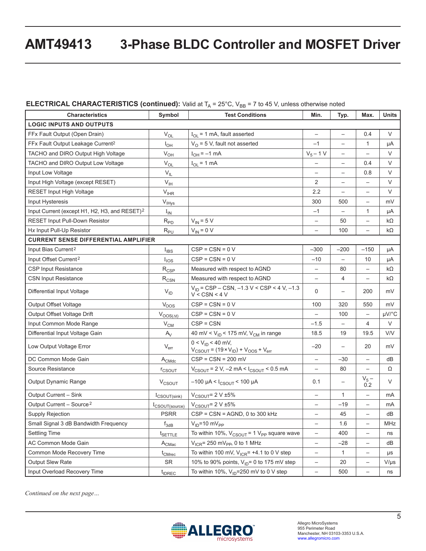### **ELECTRICAL CHARACTERISTICS (continued):** Valid at T<sub>A</sub> = 25°C, V<sub>BB</sub> = 7 to 45 V, unless otherwise noted

| <b>Characteristics</b>                                    | Symbol                          | <b>Test Conditions</b>                                                        | Min.                     | Typ.                     | Max.                     | <b>Units</b> |
|-----------------------------------------------------------|---------------------------------|-------------------------------------------------------------------------------|--------------------------|--------------------------|--------------------------|--------------|
| <b>LOGIC INPUTS AND OUTPUTS</b>                           |                                 |                                                                               |                          |                          |                          |              |
| FFx Fault Output (Open Drain)                             | $V_{OL}$                        | $I_{OL}$ = 1 mA, fault asserted                                               | —                        | $\qquad \qquad -$        | 0.4                      | V            |
| FFx Fault Output Leakage Current <sup>2</sup>             | $I_{OH}$                        | $VO$ = 5 V, fault not asserted                                                | $-1$                     | $\qquad \qquad -$        | 1                        | μA           |
| TACHO and DIRO Output High Voltage                        | $\rm V_{OH}$                    | $I_{OH} = -1$ mA                                                              | $V_5 - 1 V$              | $\overline{\phantom{0}}$ | $\overline{\phantom{0}}$ | V            |
| TACHO and DIRO Output Low Voltage                         | $V_{OL}$                        | $I_{OL}$ = 1 mA                                                               |                          | $\qquad \qquad -$        | 0.4                      | $\vee$       |
| Input Low Voltage                                         | $V_{IL}$                        |                                                                               | $\overline{\phantom{0}}$ | $\qquad \qquad -$        | 0.8                      | V            |
| Input High Voltage (except RESET)                         | $V_{\text{IH}}$                 |                                                                               | 2                        | $\qquad \qquad -$        | $\overline{\phantom{0}}$ | $\vee$       |
| <b>RESET Input High Voltage</b>                           | $\mathsf{V}_{\mathsf{IHR}}$     |                                                                               | 2.2                      | $\qquad \qquad -$        | —                        | V            |
| Input Hysteresis                                          | $V_{\text{IHys}}$               |                                                                               | 300                      | 500                      | $\overline{\phantom{m}}$ | mV           |
| Input Current (except H1, H2, H3, and RESET) <sup>2</sup> | $I_{\text{IN}}$                 |                                                                               | $-1$                     | $\overline{\phantom{0}}$ | $\mathbf{1}$             | μA           |
| RESET Input Pull-Down Resistor                            | $R_{PD}$                        | $V_{IN}$ = 5 V                                                                |                          | 50                       | $\overline{\phantom{0}}$ | kΩ           |
| Hx Input Pull-Up Resistor                                 | $R_{PU}$                        | $V_{IN} = 0 V$                                                                | $\overline{\phantom{0}}$ | 100                      | $\qquad \qquad -$        | kΩ           |
| <b>CURRENT SENSE DIFFERENTIAL AMPLIFIER</b>               |                                 |                                                                               |                          |                          |                          |              |
| Input Bias Current <sup>2</sup>                           | $I_{IBS}$                       | $CSP = CSN = 0 V$                                                             | $-300$                   | $-200$                   | $-150$                   | μA           |
| Input Offset Current <sup>2</sup>                         | I <sub>IOS</sub>                | $CSP = CSN = 0 V$                                                             | $-10$                    | $\qquad \qquad -$        | 10                       | μA           |
| <b>CSP Input Resistance</b>                               | $R_{CSP}$                       | Measured with respect to AGND                                                 | $\overline{\phantom{0}}$ | 80                       | $\qquad \qquad -$        | kΩ           |
| <b>CSN Input Resistance</b>                               | $R_{\text{CSN}}$                | Measured with respect to AGND                                                 | $\overline{\phantom{0}}$ | $\overline{4}$           | $\qquad \qquad -$        | kΩ           |
| Differential Input Voltage                                | $V_{ID}$                        | $V_{ID}$ = CSP – CSN, –1.3 V < CSP < 4 V, –1.3<br>V < CSN < 4V                | $\mathbf 0$              | $\qquad \qquad -$        | 200                      | mV           |
| <b>Output Offset Voltage</b>                              | $V_{OOS}$                       | $CSP = CSN = 0 V$                                                             | 100                      | 320                      | 550                      | mV           |
| Output Offset Voltage Drift                               | $V_{OOS(\underline{\Delta t})}$ | $CSP = CSN = 0 V$                                                             |                          | 100                      | $\qquad \qquad -$        | $\mu$ V/°C   |
| Input Common Mode Range                                   | $V_{CM}$                        | $CSP = CSN$                                                                   | $-1.5$                   | $\overline{\phantom{0}}$ | 4                        | $\vee$       |
| Differential Input Voltage Gain                           | $A_V$                           | 40 mV < $V_{ID}$ < 175 mV, $V_{CM}$ in range                                  | 18.5                     | 19                       | 19.5                     | V/V          |
| Low Output Voltage Error                                  | $V_{err}$                       | $0 < V_{ID} < 40$ mV,<br>$V_{CSOUT} = (19 \times V_{ID}) + V_{OOS} + V_{err}$ | $-20$                    | $\qquad \qquad -$        | 20                       | mV           |
| DC Common Mode Gain                                       | $A_{CMdc}$                      | $CSP = CSN = 200$ mV                                                          | $\overline{\phantom{0}}$ | -30                      | $\overline{\phantom{0}}$ | dB           |
| Source Resistance                                         | <b>r</b> <sub>CSOUT</sub>       | $V_{CSOUT}$ = 2 V, -2 mA < $I_{CSOUT}$ < 0.5 mA                               | $\overline{\phantom{0}}$ | 80                       | $\overline{\phantom{0}}$ | Ω            |
| Output Dynamic Range                                      | <b>V<sub>CSOUT</sub></b>        | $-100$ µA < $I_{CSOUT}$ < 100 µA                                              | 0.1                      | $\qquad \qquad -$        | $V_5 -$<br>0.2           | V            |
| Output Current - Sink                                     | $I_{CSOUT(sink)}$               | $V_{CSOUT} = 2 V \pm 5%$                                                      | $\overline{\phantom{0}}$ | $\mathbf{1}$             | $\overline{\phantom{0}}$ | mA           |
| Output Current - Source <sup>2</sup>                      | I <sub>CSOUT(source)</sub>      | $V_{CSOUT} = 2 V \pm 5\%$                                                     |                          | $-19$                    | $\overline{\phantom{0}}$ | mA           |
| Supply Rejection                                          | <b>PSRR</b>                     | $CSP = CSN = AGND$ , 0 to 300 kHz                                             | $\overline{\phantom{0}}$ | 45                       | $\qquad \qquad -$        | dB           |
| Small Signal 3 dB Bandwidth Frequency                     | $f_{3dB}$                       | $V_{ID} = 10 \text{ mV}_{PP}$                                                 | $\overline{\phantom{0}}$ | 1.6                      | $\overline{\phantom{m}}$ | MHz          |
| <b>Settling Time</b>                                      | t <sub>SETTLE</sub>             | To within 10%, $V_{CSOUT}$ = 1 $V_{PP}$ square wave                           | -                        | 400                      | $\qquad \qquad -$        | ns           |
| AC Common Mode Gain                                       | $A_{CMac}$                      | $V_{ICR}$ = 250 mV <sub>PP</sub> , 0 to 1 MHz                                 | -                        | $-28$                    | $\overline{\phantom{0}}$ | dB           |
| Common Mode Recovery Time                                 | t <sub>CMrec</sub>              | To within 100 mV, $V_{ICR}$ = +4.1 to 0 V step                                | $\overline{\phantom{0}}$ | $\mathbf{1}$             | $\overline{\phantom{a}}$ | μs           |
| <b>Output Slew Rate</b>                                   | SR                              | 10% to 90% points, $V_{ID} = 0$ to 175 mV step                                | $\overline{\phantom{0}}$ | 20                       | $\overline{\phantom{0}}$ | $V/\mu s$    |
| Input Overload Recovery Time<br>t <sub>IDREC</sub>        |                                 | To within 10%, $V_{ID}$ =250 mV to 0 V step                                   | -                        | 500                      | $\overline{\phantom{0}}$ | ns           |

*Continued on the next page…*

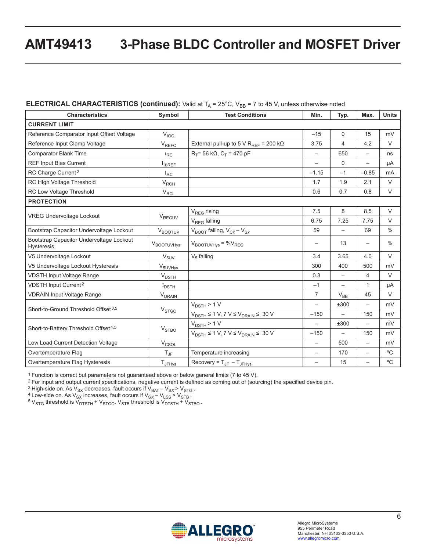#### **ELECTRICAL CHARACTERISTICS (continued):** Valid at  $T_A = 25^{\circ}$ C, V<sub>BB</sub> = 7 to 45 V, unless otherwise noted

| <b>Characteristics</b>                                        | Symbol                  | <b>Test Conditions</b>                                                               | Min.                     | Typ.                     | Max.                     | <b>Units</b>  |
|---------------------------------------------------------------|-------------------------|--------------------------------------------------------------------------------------|--------------------------|--------------------------|--------------------------|---------------|
| <b>CURRENT LIMIT</b>                                          |                         |                                                                                      |                          |                          |                          |               |
| Reference Comparator Input Offset Voltage                     | V <sub>IOC</sub>        |                                                                                      | $-15$                    | $\mathbf 0$              | 15                       | mV            |
| Reference Input Clamp Voltage                                 | $V_{REFC}$              | External pull-up to 5 V R <sub>REF</sub> = 200 k $\Omega$                            | 3.75                     | 4                        | 4.2                      | $\vee$        |
| <b>Comparator Blank Time</b>                                  | $t_{RC}$                | $R_T$ = 56 kΩ, C <sub>T</sub> = 470 pF                                               | $\qquad \qquad -$        | 650                      |                          | ns            |
| <b>REF Input Bias Current</b>                                 | I <sub>IBREF</sub>      |                                                                                      |                          | $\mathbf 0$              |                          | μA            |
| RC Charge Current <sup>2</sup>                                | $I_{RC}$                |                                                                                      | $-1.15$                  | $-1$                     | $-0.85$                  | mA            |
| RC High Voltage Threshold                                     | $V_{RCH}$               |                                                                                      | 1.7                      | 1.9                      | 2.1                      | $\vee$        |
| RC Low Voltage Threshold                                      | $V_{RCL}$               |                                                                                      | 0.6                      | 0.7                      | 0.8                      | $\vee$        |
| <b>PROTECTION</b>                                             |                         |                                                                                      |                          |                          |                          |               |
|                                                               |                         | V <sub>REG</sub> rising                                                              | 7.5                      | 8                        | 8.5                      | $\vee$        |
| <b>VREG Undervoltage Lockout</b>                              | $V_{REGUV}$             | V <sub>REG</sub> falling                                                             | 6.75                     | 7.25                     | 7.75                     | $\vee$        |
| Bootstrap Capacitor Undervoltage Lockout                      | VBOOTUV                 | $V_{\text{BOOT}}$ falling, $V_{\text{Cx}} - V_{\text{Sx}}$                           | 59                       |                          | 69                       | $\frac{0}{0}$ |
| Bootstrap Capacitor Undervoltage Lockout<br><b>Hysteresis</b> | <b>V</b> BOOTUVHys      | $V_{\text{BOOTUVHys}} = \%V_{\text{REG}}$                                            |                          | 13                       | $\qquad \qquad -$        | $\frac{0}{0}$ |
| V5 Undervoltage Lockout                                       | $V_{5UV}$               | $V5$ falling                                                                         | 3.4                      | 3.65                     | 4.0                      | $\vee$        |
| V5 Undervoltage Lockout Hysteresis                            | $V_{5UVHys}$            |                                                                                      | 300                      | 400                      | 500                      | mV            |
| <b>VDSTH Input Voltage Range</b>                              | $V_{\text{DSTH}}$       |                                                                                      | 0.3                      | $\overline{\phantom{m}}$ | 4                        | V             |
| VDSTH Input Current <sup>2</sup>                              | $I_{\text{DSTH}}$       |                                                                                      | $-1$                     | $\overline{\phantom{0}}$ | $\mathbf{1}$             | μA            |
| <b>VDRAIN Input Voltage Range</b>                             | $V_{DRAIN}$             |                                                                                      | $\overline{7}$           | $V_{BB}$                 | 45                       | $\vee$        |
| Short-to-Ground Threshold Offset 3,5                          |                         | $V_{DSTH}$ > 1 V                                                                     | $\overline{\phantom{0}}$ | ±300                     | $\overline{\phantom{0}}$ | mV            |
|                                                               | V <sub>STGO</sub>       | $V_{\text{DSTH}} \le 1 \text{ V}, 7 \text{ V} \le V_{\text{DRAIN}} \le 30 \text{ V}$ | $-150$                   | $\qquad \qquad -$        | 150                      | mV            |
|                                                               |                         | $V_{DSTH}$ > 1 V                                                                     | $\overline{\phantom{0}}$ | ±300                     | $\overline{\phantom{0}}$ | mV            |
| Short-to-Battery Threshold Offset <sup>4,5</sup>              | <b>V<sub>STBO</sub></b> | $V_{DSTH} \le 1$ V, 7 V $\le$ V <sub>DRAIN</sub> $\le$ 30 V                          | $-150$                   |                          | 150                      | mV            |
| Low Load Current Detection Voltage                            | $V_{\text{CSOL}}$       |                                                                                      |                          | 500                      | $\overline{\phantom{0}}$ | mV            |
| Overtemperature Flag                                          | $T_{\text{JF}}$         | Temperature increasing                                                               | $\overline{\phantom{0}}$ | 170                      | $\overline{\phantom{0}}$ | $^{\circ}$ C  |
| Overtemperature Flag Hysteresis                               | <b>T</b> JFHys          | Recovery = $T_{JF} - T_{JFHys}$                                                      | $\overline{\phantom{0}}$ | 15                       | $\overline{\phantom{0}}$ | $^{\circ}$ C  |

1 Function is correct but parameters not guaranteed above or below general limits (7 to 45 V).

2 For input and output current specifications, negative current is defined as coming out of (sourcing) the specified device pin.

<sup>2</sup> For liput and output current specifications, riegative current is defined<br><sup>3</sup> High-side on. As V<sub>SX</sub> decreases, fault occurs if V<sub>SAT</sub> – V<sub>SX</sub> > V<sub>STB</sub> .<br><sup>4</sup> Low-side on. As V<sub>SX</sub> increases, fault occurs if V<sub>SX</sub> – V<sub></sub>

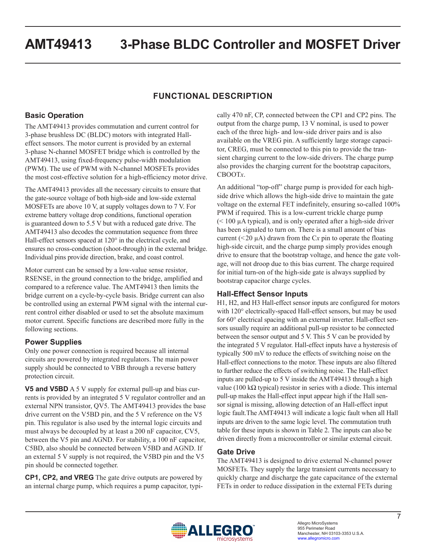## **FUNCTIONAL DESCRIPTION**

## **Basic Operation**

The AMT49413 provides commutation and current control for 3-phase brushless DC (BLDC) motors with integrated Halleffect sensors. The motor current is provided by an external 3-phase N-channel MOSFET bridge which is controlled by the AMT49413, using fixed-frequency pulse-width modulation (PWM). The use of PWM with N-channel MOSFETs provides the most cost-effective solution for a high-efficiency motor drive.

The AMT49413 provides all the necessary circuits to ensure that the gate-source voltage of both high-side and low-side external MOSFETs are above 10 V, at supply voltages down to 7 V. For extreme battery voltage drop conditions, functional operation is guaranteed down to 5.5 V but with a reduced gate drive. The AMT49413 also decodes the commutation sequence from three Hall-effect sensors spaced at 120° in the electrical cycle, and ensures no cross-conduction (shoot-through) in the external bridge. Individual pins provide direction, brake, and coast control.

Motor current can be sensed by a low-value sense resistor, RSENSE, in the ground connection to the bridge, amplified and compared to a reference value. The AMT49413 then limits the bridge current on a cycle-by-cycle basis. Bridge current can also be controlled using an external PWM signal with the internal current control either disabled or used to set the absolute maximum motor current. Specific functions are described more fully in the following sections.

## **Power Supplies**

Only one power connection is required because all internal circuits are powered by integrated regulators. The main power supply should be connected to VBB through a reverse battery protection circuit.

**V5 and V5BD** A 5 V supply for external pull-up and bias currents is provided by an integrated 5 V regulator controller and an external NPN transistor, QV5. The AMT49413 provides the base drive current on the V5BD pin, and the 5 V reference on the V5 pin. This regulator is also used by the internal logic circuits and must always be decoupled by at least a 200 nF capacitor, CV5, between the V5 pin and AGND. For stability, a 100 nF capacitor, C5BD, also should be connected between V5BD and AGND. If an external 5 V supply is not required, the V5BD pin and the V5 pin should be connected together.

**CP1, CP2, and VREG** The gate drive outputs are powered by an internal charge pump, which requires a pump capacitor, typically 470 nF, CP, connected between the CP1 and CP2 pins. The output from the charge pump, 13 V nominal, is used to power each of the three high- and low-side driver pairs and is also available on the VREG pin. A sufficiently large storage capacitor, CREG, must be connected to this pin to provide the transient charging current to the low-side drivers. The charge pump also provides the charging current for the bootstrap capacitors, CBOOT*x*.

An additional "top-off" charge pump is provided for each highside drive which allows the high-side drive to maintain the gate voltage on the external FET indefinitely, ensuring so-called 100% PWM if required. This is a low-current trickle charge pump (< 100 µA typical), and is only operated after a high-side driver has been signaled to turn on. There is a small amount of bias current ( $\leq$ 20  $\mu$ A) drawn from the C*x* pin to operate the floating high-side circuit, and the charge pump simply provides enough drive to ensure that the bootstrap voltage, and hence the gate voltage, will not droop due to this bias current. The charge required for initial turn-on of the high-side gate is always supplied by bootstrap capacitor charge cycles.

## **Hall-Effect Sensor Inputs**

H1, H2, and H3 Hall-effect sensor inputs are configured for motors with 120° electrically-spaced Hall-effect sensors, but may be used for 60° electrical spacing with an external inverter. Hall-effect sensors usually require an additional pull-up resistor to be connected between the sensor output and 5 V. This 5 V can be provided by the integrated 5 V regulator. Hall-effect inputs have a hysteresis of typically 500 mV to reduce the effects of switching noise on the Hall-effect connections to the motor. These inputs are also filtered to further reduce the effects of switching noise. The Hall-effect inputs are pulled-up to 5 V inside the AMT49413 through a high value (100 kΩ typical) resistor in series with a diode. This internal pull-up makes the Hall-effect input appear high if the Hall sensor signal is missing, allowing detection of an Hall-effect input logic fault.The AMT49413 will indicate a logic fault when all Hall inputs are driven to the same logic level. The commutation truth table for these inputs is shown in Table 2. The inputs can also be driven directly from a microcontroller or similar external circuit.

## **Gate Drive**

The AMT49413 is designed to drive external N-channel power MOSFETs. They supply the large transient currents necessary to quickly charge and discharge the gate capacitance of the external FETs in order to reduce dissipation in the external FETs during

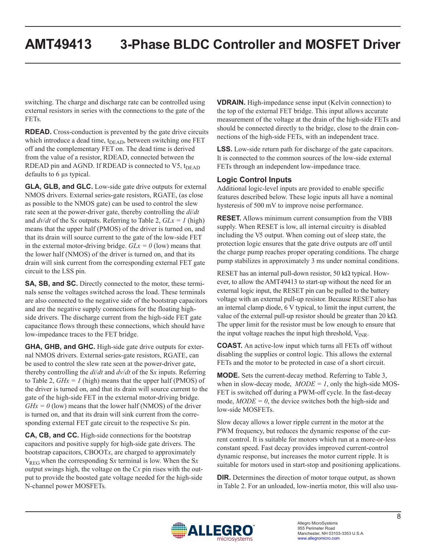switching. The charge and discharge rate can be controlled using external resistors in series with the connections to the gate of the FETs.

**RDEAD.** Cross-conduction is prevented by the gate drive circuits which introduce a dead time, t<sub>DEAD</sub>, between switching one FET off and the complementary FET on. The dead time is derived from the value of a resistor, RDEAD, connected between the RDEAD pin and AGND. If RDEAD is connected to  $V5$ ,  $t_{DEAD}$ defaults to 6 µs typical.

**GLA, GLB, and GLC.** Low-side gate drive outputs for external NMOS drivers. External series-gate resistors, RGATE, (as close as possible to the NMOS gate) can be used to control the slew rate seen at the power-driver gate, thereby controlling the *di*/*dt* and  $dv/dt$  of the Sx outputs. Referring to [Table 2](#page-11-0),  $GLx = 1$  (high) means that the upper half (PMOS) of the driver is turned on, and that its drain will source current to the gate of the low-side FET in the external motor-driving bridge.  $GLx = 0$  (low) means that the lower half (NMOS) of the driver is turned on, and that its drain will sink current from the corresponding external FET gate circuit to the LSS pin.

**SA, SB, and SC.** Directly connected to the motor, these terminals sense the voltages switched across the load. These terminals are also connected to the negative side of the bootstrap capacitors and are the negative supply connections for the floating highside drivers. The discharge current from the high-side FET gate capacitance flows through these connections, which should have low-impedance traces to the FET bridge.

**GHA, GHB, and GHC.** High-side gate drive outputs for external NMOS drivers. External series-gate resistors, RGATE, can be used to control the slew rate seen at the power-driver gate, thereby controlling the *di*/*dt* and *dv*/*dt* of the S*x* inputs. Referring to [Table 2,](#page-11-0)  $GHx = 1$  (high) means that the upper half (PMOS) of the driver is turned on, and that its drain will source current to the gate of the high-side FET in the external motor-driving bridge.  $GHx = 0$  (low) means that the lower half (NMOS) of the driver is turned on, and that its drain will sink current from the corresponding external FET gate circuit to the respective S*x* pin.

**CA, CB, and CC.** High-side connections for the bootstrap capacitors and positive supply for high-side gate drivers. The bootstrap capacitors, CBOOT*x*, are charged to approximately  $V_{\text{REG}}$  when the corresponding Sx terminal is low. When the Sx output swings high, the voltage on the C*x* pin rises with the output to provide the boosted gate voltage needed for the high-side N-channel power MOSFETs.

**VDRAIN.** High-impedance sense input (Kelvin connection) to the top of the external FET bridge. This input allows accurate measurement of the voltage at the drain of the high-side FETs and should be connected directly to the bridge, close to the drain connections of the high-side FETs, with an independent trace.

**LSS.** Low-side return path for discharge of the gate capacitors. It is connected to the common sources of the low-side external FETs through an independent low-impedance trace.

#### **Logic Control Inputs**

Additional logic-level inputs are provided to enable specific features described below. These logic inputs all have a nominal hysteresis of 500 mV to improve noise performance.

**RESET.** Allows minimum current consumption from the VBB supply. When RESET is low, all internal circuitry is disabled including the V5 output. When coming out of sleep state, the protection logic ensures that the gate drive outputs are off until the charge pump reaches proper operating conditions. The charge pump stabilizes in approximately 3 ms under nominal conditions.

RESET has an internal pull-down resistor, 50 kΩ typical. However, to allow the AMT49413 to start-up without the need for an external logic input, the RESET pin can be pulled to the battery voltage with an external pull-up resistor. Because RESET also has an internal clamp diode, 6 V typical, to limit the input current, the value of the external pull-up resistor should be greater than 20 kΩ. The upper limit for the resistor must be low enough to ensure that the input voltage reaches the input high threshold,  $V_{INR}$ .

**COAST.** An active-low input which turns all FETs off without disabling the supplies or control logic. This allows the external FETs and the motor to be protected in case of a short circuit.

**MODE.** Sets the current-decay method. Referring to [Table 3](#page-11-1), when in slow-decay mode,  $MODE = 1$ , only the high-side MOS-FET is switched off during a PWM-off cycle. In the fast-decay mode,  $MODE = 0$ , the device switches both the high-side and low-side MOSFETs.

Slow decay allows a lower ripple current in the motor at the PWM frequency, but reduces the dynamic response of the current control. It is suitable for motors which run at a more-or-less constant speed. Fast decay provides improved current-control dynamic response, but increases the motor current ripple. It is suitable for motors used in start-stop and positioning applications.

**DIR.** Determines the direction of motor torque output, as shown in [Table 2.](#page-11-0) For an unloaded, low-inertia motor, this will also usu-

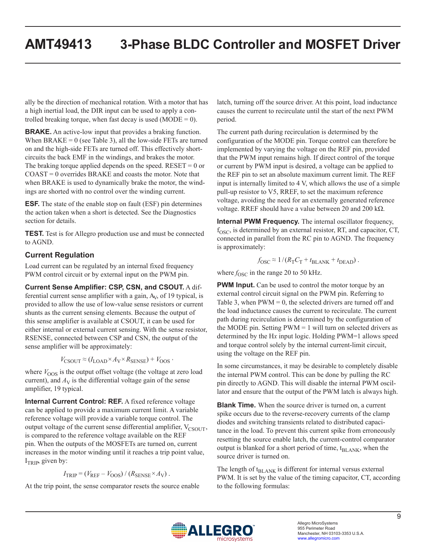ally be the direction of mechanical rotation. With a motor that has a high inertial load, the DIR input can be used to apply a controlled breaking torque, when fast decay is used (MODE =  $0$ ).

**BRAKE.** An active-low input that provides a braking function. When  $BRAKE = 0$  (see [Table 3](#page-11-1)), all the low-side FETs are turned on and the high-side FETs are turned off. This effectively shortcircuits the back EMF in the windings, and brakes the motor. The braking torque applied depends on the speed.  $RESET = 0$  or COAST = 0 overrides BRAKE and coasts the motor. Note that when BRAKE is used to dynamically brake the motor, the windings are shorted with no control over the winding current.

**ESF.** The state of the enable stop on fault (ESF) pin determines the action taken when a short is detected. See the Diagnostics section for details.

**TEST.** Test is for Allegro production use and must be connected to AGND.

### **Current Regulation**

Load current can be regulated by an internal fixed frequency PWM control circuit or by external input on the PWM pin.

**Current Sense Amplifier: CSP, CSN, and CSOUT.** A differential current sense amplifier with a gain,  $A<sub>V</sub>$ , of 19 typical, is provided to allow the use of low-value sense resistors or current shunts as the current sensing elements. Because the output of this sense amplifier is available at CSOUT, it can be used for either internal or external current sensing. With the sense resistor, RSENSE, connected between CSP and CSN, the output of the sense amplifier will be approximately:

$$
V_{\text{CSOUT}} \approx (I_{\text{LOAD}} \times A_{\text{V}} \times R_{\text{SENSE}}) + V_{\text{OOS}} \,,
$$

where  $V_{\text{OOS}}$  is the output offset voltage (the voltage at zero load current), and  $A_V$  is the differential voltage gain of the sense amplifier, 19 typical.

**Internal Current Control: REF.** A fixed reference voltage can be applied to provide a maximum current limit. A variable reference voltage will provide a variable torque control. The output voltage of the current sense differential amplifier,  $V_{CSOUT}$ , is compared to the reference voltage available on the REF pin. When the outputs of the MOSFETs are turned on, current increases in the motor winding until it reaches a trip point value,  $I<sub>TRIP</sub>$ , given by:

$$
I_{\text{TRIP}} = (V_{\text{REF}} - V_{\text{OOS}}) / (R_{\text{SENSE}} \times A_{\text{V}}).
$$

At the trip point, the sense comparator resets the source enable

latch, turning off the source driver. At this point, load inductance causes the current to recirculate until the start of the next PWM period.

The current path during recirculation is determined by the configuration of the MODE pin. Torque control can therefore be implemented by varying the voltage on the REF pin, provided that the PWM input remains high. If direct control of the torque or current by PWM input is desired, a voltage can be applied to the REF pin to set an absolute maximum current limit. The REF input is internally limited to 4 V, which allows the use of a simple pull-up resistor to V5, RREF, to set the maximum reference voltage, avoiding the need for an externally generated reference voltage. RREF should have a value between 20 and 200 kΩ.

**Internal PWM Frequency.** The internal oscillator frequency,  $f_{\rm OSC}$ , is determined by an external resistor, RT, and capacitor, CT, connected in parallel from the RC pin to AGND. The frequency is approximately:

$$
f_{\rm OSC} \approx 1/(R_{\rm T} C_{\rm T} + t_{\rm BLANK} + t_{\rm DEAD})\;.
$$

where  $f_{\rm OSC}$  in the range 20 to 50 kHz.

**PWM Input.** Can be used to control the motor torque by an external control circuit signal on the PWM pin. Referring to [Table 3,](#page-11-1) when  $PWM = 0$ , the selected drivers are turned off and the load inductance causes the current to recirculate. The current path during recirculation is determined by the configuration of the MODE pin. Setting  $PWM = 1$  will turn on selected drivers as determined by the H*x* input logic. Holding PWM=1 allows speed and torque control solely by the internal current-limit circuit, using the voltage on the REF pin.

In some circumstances, it may be desirable to completely disable the internal PWM control. This can be done by pulling the RC pin directly to AGND. This will disable the internal PWM oscillator and ensure that the output of the PWM latch is always high.

**Blank Time.** When the source driver is turned on, a current spike occurs due to the reverse-recovery currents of the clamp diodes and switching transients related to distributed capacitance in the load. To prevent this current spike from erroneously resetting the source enable latch, the current-control comparator output is blanked for a short period of time,  $t_{BLANK}$ , when the source driver is turned on.

The length of  $t_{BLANK}$  is different for internal versus external PWM. It is set by the value of the timing capacitor, CT, according to the following formulas:

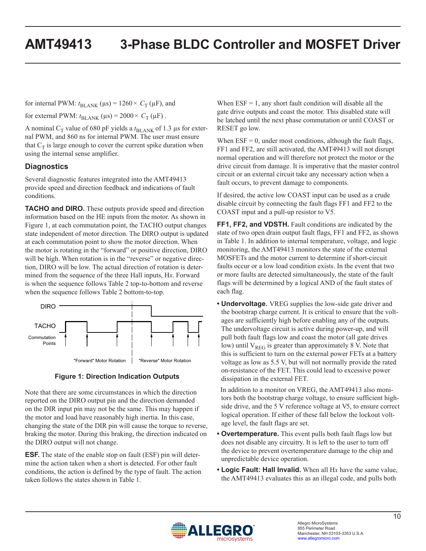for internal PWM:  $t_{BLANK}$  ( $\mu$ s) = 1260 ×  $C_T$  ( $\mu$ F), and

for external PWM:  $t_{\text{BLANK}}$  ( $\mu$ s) = 2000 ×  $C_T$  ( $\mu$ F).

A nominal  $C_T$  value of 680 pF yields a  $t_{\text{BLANK}}$  of 1.3 µs for external PWM, and 860 ns for internal PWM. The user must ensure that  $C_T$  is large enough to cover the current spike duration when using the internal sense amplifier.

### **Diagnostics**

Several diagnostic features integrated into the AMT49413 provide speed and direction feedback and indications of fault conditions.

**TACHO and DIRO.** These outputs provide speed and direction information based on the HE inputs from the motor. As shown in [Figure 1](#page-9-0), at each commutation point, the TACHO output changes state independent of motor direction. The DIRO output is updated at each commutation point to show the motor direction. When the motor is rotating in the "forward" or positive direction, DIRO will be high. When rotation is in the "reverse" or negative direction, DIRO will be low. The actual direction of rotation is determined from the sequence of the three Hall inputs, H*x*. Forward is when the sequence follows [Table 2](#page-11-0) top-to-bottom and reverse when the sequence follows [Table 2](#page-11-0) bottom-to-top.





Note that there are some circumstances in which the direction reported on the DIRO output pin and the direction demanded on the DIR input pin may not be the same. This may happen if the motor and load have reasonably high inertia. In this case, changing the state of the DIR pin will cause the torque to reverse, braking the motor. During this braking, the direction indicated on the DIRO output will not change.

**ESF.** The state of the enable stop on fault (ESF) pin will determine the action taken when a short is detected. For other fault conditions, the action is defined by the type of fault. The action taken follows the states shown in [Table 1](#page-11-2).

When  $ESF = 1$ , any short fault condition will disable all the gate drive outputs and coast the motor. This disabled state will be latched until the next phase commutation or until COAST or RESET go low.

When  $ESF = 0$ , under most conditions, although the fault flags, FF1 and FF2, are still activated, the AMT49413 will not disrupt normal operation and will therefore not protect the motor or the drive circuit from damage. It is imperative that the master control circuit or an external circuit take any necessary action when a fault occurs, to prevent damage to components.

If desired, the active low COAST input can be used as a crude disable circuit by connecting the fault flags FF1 and FF2 to the COAST input and a pull-up resistor to V5.

**FF1, FF2, and VDSTH.** Fault conditions are indicated by the state of two open drain output fault flags, FF1 and FF2, as shown in Table 1. In addition to internal temperature, voltage, and logic monitoring, the AMT49413 monitors the state of the external MOSFETs and the motor current to determine if short-circuit faults occur or a low load condition exists. In the event that two or more faults are detected simultaneously, the state of the fault flags will be determined by a logical AND of the fault states of each flag.

**• Undervoltage.** VREG supplies the low-side gate driver and the bootstrap charge current. It is critical to ensure that the voltages are sufficiently high before enabling any of the outputs. The undervoltage circuit is active during power-up, and will pull both fault flags low and coast the motor (all gate drives low) until  $V_{REG}$  is greater than approximately 8 V. Note that this is sufficient to turn on the external power FETs at a battery voltage as low as 5.5 V, but will not normally provide the rated on-resistance of the FET. This could lead to excessive power dissipation in the external FET.

<span id="page-9-0"></span> In addition to a monitor on VREG, the AMT49413 also monitors both the bootstrap charge voltage, to ensure sufficient highside drive, and the 5 V reference voltage at V5, to ensure correct logical operation. If either of these fall below the lockout voltage level, the fault flags are set.

- **• Overtemperature.** This event pulls both fault flags low but does not disable any circuitry. It is left to the user to turn off the device to prevent overtemperature damage to the chip and unpredictable device operation.
- **• Logic Fault: Hall Invalid.** When all H*x* have the same value, the AMT49413 evaluates this as an illegal code, and pulls both

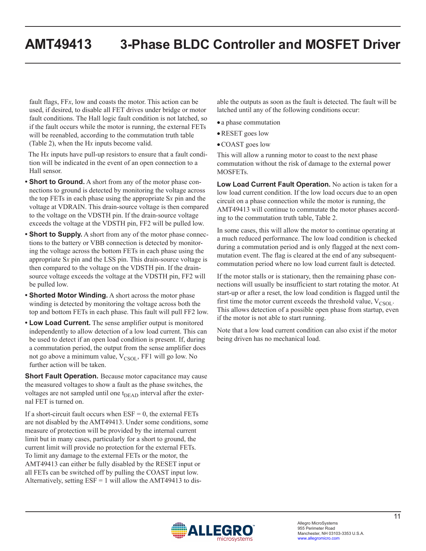fault flags, FF*x*, low and coasts the motor. This action can be used, if desired, to disable all FET drives under bridge or motor fault conditions. The Hall logic fault condition is not latched, so if the fault occurs while the motor is running, the external FETs will be reenabled, according to the commutation truth table [\(Table 2](#page-11-0)), when the H*x* inputs become valid.

 The H*x* inputs have pull-up resistors to ensure that a fault condition will be indicated in the event of an open connection to a Hall sensor.

- **• Short to Ground.** A short from any of the motor phase connections to ground is detected by monitoring the voltage across the top FETs in each phase using the appropriate S*x* pin and the voltage at VDRAIN. This drain-source voltage is then compared to the voltage on the VDSTH pin. If the drain-source voltage exceeds the voltage at the VDSTH pin, FF2 will be pulled low.
- **• Short to Supply.** A short from any of the motor phase connections to the battery or VBB connection is detected by monitoring the voltage across the bottom FETs in each phase using the appropriate S*x* pin and the LSS pin. This drain-source voltage is then compared to the voltage on the VDSTH pin. If the drainsource voltage exceeds the voltage at the VDSTH pin, FF2 will be pulled low.
- **• Shorted Motor Winding.** A short across the motor phase winding is detected by monitoring the voltage across both the top and bottom FETs in each phase. This fault will pull FF2 low.
- **• Low Load Current.** The sense amplifier output is monitored independently to allow detection of a low load current. This can be used to detect if an open load condition is present. If, during a commutation period, the output from the sense amplifier does not go above a minimum value, V<sub>CSOL</sub>, FF1 will go low. No further action will be taken.

**Short Fault Operation.** Because motor capacitance may cause the measured voltages to show a fault as the phase switches, the voltages are not sampled until one  $t_{DEAD}$  interval after the external FET is turned on.

If a short-circuit fault occurs when  $ESF = 0$ , the external  $FETs$ are not disabled by the AMT49413. Under some conditions, some measure of protection will be provided by the internal current limit but in many cases, particularly for a short to ground, the current limit will provide no protection for the external FETs. To limit any damage to the external FETs or the motor, the AMT49413 can either be fully disabled by the RESET input or all FETs can be switched off by pulling the COAST input low. Alternatively, setting  $ESF = 1$  will allow the AMT49413 to disable the outputs as soon as the fault is detected. The fault will be latched until any of the following conditions occur:

- a phase commutation
- •RESET goes low
- •COAST goes low

This will allow a running motor to coast to the next phase commutation without the risk of damage to the external power MOSFETs.

**Low Load Current Fault Operation.** No action is taken for a low load current condition. If the low load occurs due to an open circuit on a phase connection while the motor is running, the AMT49413 will continue to commutate the motor phases according to the commutation truth table, [Table 2.](#page-11-0)

In some cases, this will allow the motor to continue operating at a much reduced performance. The low load condition is checked during a commutation period and is only flagged at the next commutation event. The flag is cleared at the end of any subsequentcommutation period where no low load current fault is detected.

If the motor stalls or is stationary, then the remaining phase connections will usually be insufficient to start rotating the motor. At start-up or after a reset, the low load condition is flagged until the first time the motor current exceeds the threshold value,  $V_{\text{CSOL}}$ . This allows detection of a possible open phase from startup, even if the motor is not able to start running.

Note that a low load current condition can also exist if the motor being driven has no mechanical load.

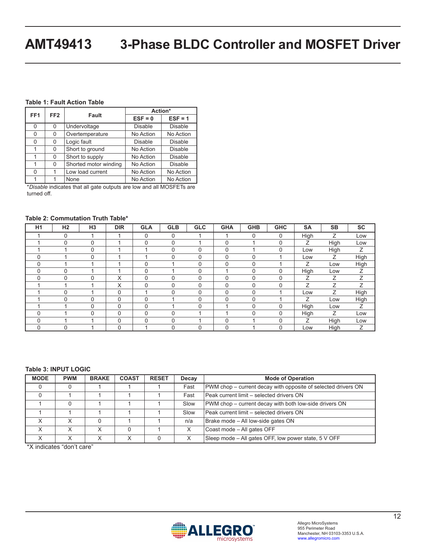#### <span id="page-11-2"></span>**Table 1: Fault Action Table**

|                                    |          |                       | Action*        |                |  |  |
|------------------------------------|----------|-----------------------|----------------|----------------|--|--|
| FF <sub>2</sub><br>FF <sub>1</sub> |          | <b>Fault</b>          | $ESF = 0$      | $ESF = 1$      |  |  |
| 0                                  | 0        | Undervoltage          | <b>Disable</b> | <b>Disable</b> |  |  |
| 0                                  | 0        | Overtemperature       | No Action      | No Action      |  |  |
| 0                                  | 0        | Logic fault           | <b>Disable</b> | Disable        |  |  |
|                                    | 0        | Short to ground       | No Action      | Disable        |  |  |
|                                    | 0        | Short to supply       | No Action      | Disable        |  |  |
|                                    | $\Omega$ | Shorted motor winding | No Action      | Disable        |  |  |
| 0                                  |          | Low load current      | No Action      | No Action      |  |  |
|                                    |          | None                  | No Action      | No Action      |  |  |

\**Disable* indicates that all gate outputs are low and all MOSFETs are turned off.

#### <span id="page-11-0"></span>**Table 2: Commutation Truth Table\***

| H1 | H <sub>2</sub> | H <sub>3</sub> | <b>DIR</b> | <b>GLA</b> | <b>GLB</b> | <b>GLC</b> | <b>GHA</b> | <b>GHB</b> | <b>GHC</b>  | <b>SA</b> | <b>SB</b> | <b>SC</b> |
|----|----------------|----------------|------------|------------|------------|------------|------------|------------|-------------|-----------|-----------|-----------|
|    | $\mathbf 0$    |                |            | 0          | 0          |            |            | $\Omega$   | $\mathbf 0$ | High      | Ζ         | Low       |
|    | $\overline{0}$ | 0              |            | 0          | $\Omega$   |            | 0          |            | $\mathbf 0$ | Ζ         | High      | Low       |
|    |                | 0              |            |            | 0          | $\Omega$   | 0          |            | $\mathbf 0$ | Low       | High      | Ζ         |
| 0  |                | $\Omega$       |            |            | 0          | $\Omega$   | 0          | $\Omega$   |             | Low       | Ζ         | High      |
| 0  |                |                |            | 0          |            | $\Omega$   | 0          | $\Omega$   |             | Ζ         | Low       | High      |
| 0  | $\Omega$       |                |            | 0          |            | $\Omega$   |            | $\Omega$   | $\mathbf 0$ | High      | Low       | Ζ         |
| 0  | 0              | 0              | X          | 0          | $\Omega$   | $\Omega$   | 0          | $\Omega$   | $\mathbf 0$ | Z         | Ζ         | Z.        |
|    |                |                | X          | 0          | 0          | $\Omega$   | 0          | O          | $\mathbf 0$ | Z         | Z         | Ζ         |
|    | $\Omega$       |                | 0          |            | $\Omega$   | $\Omega$   | 0          | $\Omega$   |             | Low       | Ζ         | High      |
|    | $\Omega$       | $\mathbf 0$    | 0          | 0          |            | $\Omega$   | 0          | $\Omega$   |             | Ζ         | Low       | High      |
|    |                | 0              | 0          | 0          |            | $\Omega$   |            | $\Omega$   | $\mathbf 0$ | High      | Low       | Ζ         |
| 0  |                | $\Omega$       | 0          | 0          | 0          |            |            | $\Omega$   | $\mathbf 0$ | High      | Ζ         | Low       |
| 0  |                |                | 0          | 0          | 0          |            | 0          |            | $\mathbf 0$ | Z         | High      | Low       |
| 0  | $\mathbf 0$    |                | 0          |            | 0          | $\Omega$   | 0          |            | $\mathbf 0$ | Low       | High      | Ζ         |

#### <span id="page-11-1"></span>**Table 3: INPUT LOGIC**

| <b>MODE</b> | <b>PWM</b> | <b>BRAKE</b> | <b>COAST</b> | <b>RESET</b> | Decay                                                          | <b>Mode of Operation</b>                                      |
|-------------|------------|--------------|--------------|--------------|----------------------------------------------------------------|---------------------------------------------------------------|
|             |            |              |              |              | Fast                                                           | PWM chop – current decay with opposite of selected drivers ON |
|             |            |              |              |              | Peak current limit – selected drivers ON<br>Fast               |                                                               |
|             |            |              |              |              | PWM chop – current decay with both low-side drivers ON<br>Slow |                                                               |
|             |            |              |              |              | Slow<br>Peak current limit – selected drivers ON               |                                                               |
|             |            |              |              |              | n/a                                                            | Brake mode - All low-side gates ON                            |
| X           |            | $\checkmark$ |              |              |                                                                | Coast mode - All gates OFF                                    |
|             |            |              |              |              |                                                                | Sleep mode – All gates OFF, low power state, 5 V OFF          |

\*X indicates "don't care"

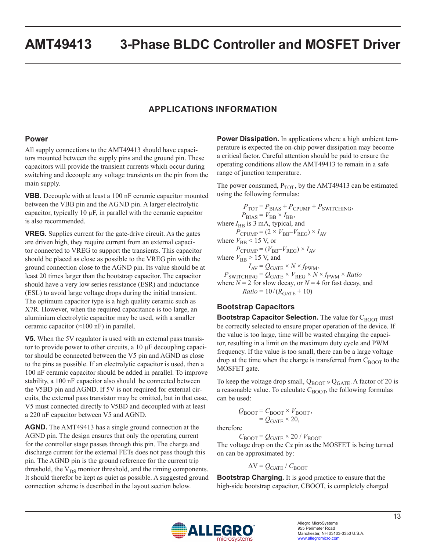## **APPLICATIONS INFORMATION**

#### **Power**

All supply connections to the AMT49413 should have capacitors mounted between the supply pins and the ground pin. These capacitors will provide the transient currents which occur during switching and decouple any voltage transients on the pin from the main supply.

**VBB.** Decouple with at least a 100 nF ceramic capacitor mounted between the VBB pin and the AGND pin. A larger electrolytic capacitor, typically 10 µF, in parallel with the ceramic capacitor is also recommended.

**VREG.** Supplies current for the gate-drive circuit. As the gates are driven high, they require current from an external capacitor connected to VREG to support the transients. This capacitor should be placed as close as possible to the VREG pin with the ground connection close to the AGND pin. Its value should be at least 20 times larger than the bootstrap capacitor. The capacitor should have a very low series resistance (ESR) and inductance (ESL) to avoid large voltage drops during the initial transient. The optimum capacitor type is a high quality ceramic such as X7R. However, when the required capacitance is too large, an aluminium electrolytic capacitor may be used, with a smaller ceramic capacitor  $(\approx 100 \text{ nF})$  in parallel.

**V5.** When the 5V regulator is used with an external pass transistor to provide power to other circuits, a  $10 \mu$ F decoupling capacitor should be connected between the V5 pin and AGND as close to the pins as possible. If an electrolytic capacitor is used, then a 100 nF ceramic capacitor should be added in parallel. To improve stability, a 100 nF capacitor also should be connected between the V5BD pin and AGND. If 5V is not required for external circuits, the external pass transistor may be omitted, but in that case, V5 must connected directly to V5BD and decoupled with at least a 220 nF capacitor between V5 and AGND.

**AGND.** The AMT49413 has a single ground connection at the AGND pin. The design ensures that only the operating current for the controller stage passes through this pin. The charge and discharge current for the external FETs does not pass though this pin. The AGND pin is the ground reference for the current trip threshold, the  $V_{DS}$  monitor threshold, and the timing components. It should therefor be kept as quiet as possible. A suggested ground connection scheme is described in the layout section below.

**Power Dissipation.** In applications where a high ambient temperature is expected the on-chip power dissipation may become a critical factor. Careful attention should be paid to ensure the operating conditions allow the AMT49413 to remain in a safe range of junction temperature.

The power consumed,  $P_{TOT}$ , by the AMT49413 can be estimated using the following formulas:

 $P_{\text{TOT}} = P_{\text{BIAS}} + P_{\text{CPUMP}} + P_{\text{SWITCHING}}$  $P_{\text{BIAS}} = V_{\text{BB}} \times I_{\text{BB}}$ , where  $I_{\text{BB}}$  is 3 mA, typical, and  $P_{\text{CPUMP}} = (2 \times V_{\text{BB}} - V_{\text{REG}}) \times I_{\text{AV}}$ where  $V_{\text{BB}}$  < 15 V, or  $P_{\text{CPUMP}} = (V_{\text{BB}} - V_{\text{REG}}) \times I_{\text{AV}}$ where  $V_{\text{BB}}$  > 15 V, and  $I_{\text{AV}} = Q_{\text{GATE}} \times N \times f_{\text{PWM}}$ ,  $P_{\text{SWITCHING}} = Q_{\text{GATE}} \times V_{\text{REG}} \times N \times f_{\text{PWM}} \times Ratio$ where  $N = 2$  for slow decay, or  $N = 4$  for fast decay, and  $Ratio = 10/(R_{GATE} + 10)$ 

### **Bootstrap Capacitors**

**Bootstrap Capacitor Selection.** The value for C<sub>BOOT</sub> must be correctly selected to ensure proper operation of the device. If the value is too large, time will be wasted charging the capacitor, resulting in a limit on the maximum duty cycle and PWM frequency. If the value is too small, there can be a large voltage drop at the time when the charge is transferred from  $C_{\text{BOOT}}$  to the MOSFET gate.

To keep the voltage drop small,  $Q_{\text{BOOT}} \gg Q_{\text{GATE}}$ . A factor of 20 is a reasonable value. To calculate  $C_{\text{BOOT}}$ , the following formulas can be used:

$$
Q_{\text{BOOT}} = C_{\text{BOOT}} \times V_{\text{BOOT}},
$$
  
=  $Q_{\text{GATE}} \times 20,$ 

therefore

 $C_{\text{BOOT}} = Q_{\text{GATE}} \times 20$  /  $V_{\text{BOOT}}$ 

The voltage drop on the C*x* pin as the MOSFET is being turned on can be approximated by:

 $\Delta V = Q_{GATE} / C_{BOOT}$ 

**Bootstrap Charging.** It is good practice to ensure that the high-side bootstrap capacitor, CBOOT, is completely charged

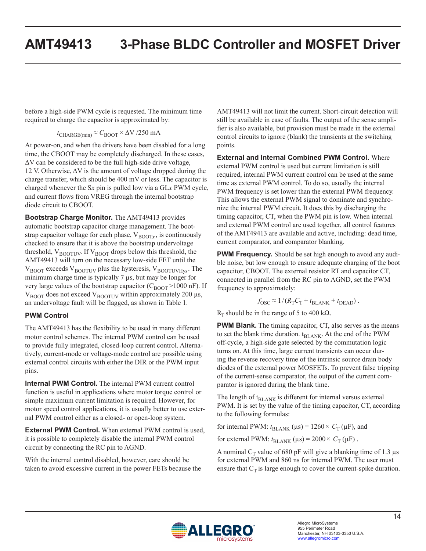before a high-side PWM cycle is requested. The minimum time required to charge the capacitor is approximated by:

 $t_{\text{CHARGE(min)}} \approx C_{\text{BOOT}} \times \Delta V / 250 \text{ mA}$ 

At power-on, and when the drivers have been disabled for a long time, the CBOOT may be completely discharged. In these cases,  $\Delta V$  can be considered to be the full high-side drive voltage, 12 V. Otherwise, ΔV is the amount of voltage dropped during the charge transfer, which should be 400 mV or less. The capacitor is charged whenever the S*x* pin is pulled low via a GL*x* PWM cycle, and current flows from VREG through the internal bootstrap diode circuit to CBOOT.

**Bootstrap Charge Monitor.** The AMT49413 provides automatic bootstrap capacitor charge management. The bootstrap capacitor voltage for each phase,  $V_{\text{BOOT}x}$ , is continuously checked to ensure that it is above the bootstrap undervoltage threshold,  $V_{\text{BOOTUV}}$ . If  $V_{\text{BOOT}}$  drops below this threshold, the AMT49413 will turn on the necessary low-side FET until the  $V_{\text{BOOT}}$  exceeds  $V_{\text{BOOTUV}}$  plus the hysteresis,  $V_{\text{BOOTUVHvs}}$ . The minimum charge time is typically 7  $\mu$ s, but may be longer for very large values of the bootstrap capacitor ( $C_{\text{BOOT}}$  >1000 nF). If  $V_{\text{BOOT}}$  does not exceed  $V_{\text{BOOTUV}}$  within approximately 200  $\mu$ s, an undervoltage fault will be flagged, as shown in [Table 1.](#page-11-2)

#### **PWM Control**

The AMT49413 has the flexibility to be used in many different motor control schemes. The internal PWM control can be used to provide fully integrated, closed-loop current control. Alternatively, current-mode or voltage-mode control are possible using external control circuits with either the DIR or the PWM input pins.

**Internal PWM Control.** The internal PWM current control function is useful in applications where motor torque control or simple maximum current limitation is required. However, for motor speed control applications, it is usually better to use external PWM control either as a closed- or open-loop system.

**External PWM Control.** When external PWM control is used, it is possible to completely disable the internal PWM control circuit by connecting the RC pin to AGND.

With the internal control disabled, however, care should be taken to avoid excessive current in the power FETs because the AMT49413 will not limit the current. Short-circuit detection will still be available in case of faults. The output of the sense amplifier is also available, but provision must be made in the external control circuits to ignore (blank) the transients at the switching points.

**External and Internal Combined PWM Control.** Where external PWM control is used but current limitation is still required, internal PWM current control can be used at the same time as external PWM control. To do so, usually the internal PWM frequency is set lower than the external PWM frequency. This allows the external PWM signal to dominate and synchronize the internal PWM circuit. It does this by discharging the timing capacitor, CT, when the PWM pin is low. When internal and external PWM control are used together, all control features of the AMT49413 are available and active, including: dead time, current comparator, and comparator blanking.

**PWM Frequency.** Should be set high enough to avoid any audible noise, but low enough to ensure adequate charging of the boot capacitor, CBOOT. The external resistor RT and capacitor CT, connected in parallel from the RC pin to AGND, set the PWM frequency to approximately:

$$
f_{\rm OSC} \approx 1/(R_{\rm T} C_{\rm T} + t_{\rm BLANK} + t_{\rm DEAD})
$$
.

R<sub>T</sub> should be in the range of 5 to 400 kΩ.

**PWM Blank.** The timing capacitor, CT, also serves as the means to set the blank time duration.  $t_{BLANK}$ . At the end of the PWM off-cycle, a high-side gate selected by the commutation logic turns on. At this time, large current transients can occur during the reverse recovery time of the intrinsic source drain body diodes of the external power MOSFETs. To prevent false tripping of the current-sense comparator, the output of the current comparator is ignored during the blank time.

The length of  $t_{BLANK}$  is different for internal versus external PWM. It is set by the value of the timing capacitor, CT, according to the following formulas:

for internal PWM:  $t_{BLANK}$  ( $\mu$ s) = 1260 ×  $C_T$  ( $\mu$ F), and

for external PWM:  $t_{\text{BLANK}}$  ( $\mu$ s) = 2000 ×  $C_T$  ( $\mu$ F).

A nominal  $C_T$  value of 680 pF will give a blanking time of 1.3  $\mu$ s for external PWM and 860 ns for internal PWM. The user must ensure that  $C_T$  is large enough to cover the current-spike duration.

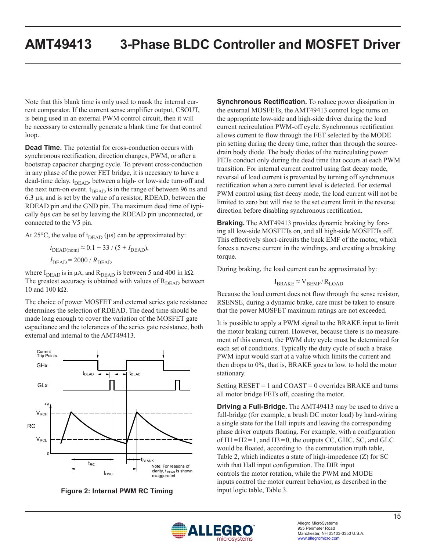Note that this blank time is only used to mask the internal current comparator. If the current sense amplifier output, CSOUT, is being used in an external PWM control circuit, then it will be necessary to externally generate a blank time for that control loop.

**Dead Time.** The potential for cross-conduction occurs with synchronous rectification, direction changes, PWM, or after a bootstrap capacitor charging cycle. To prevent cross-conduction in any phase of the power FET bridge, it is necessary to have a dead-time delay,  $t_{DEAD}$ , between a high- or low-side turn-off and the next turn-on event.  $t_{DEAD}$  is in the range of between 96 ns and 6.3 µs, and is set by the value of a resistor, RDEAD, between the RDEAD pin and the GND pin. The maximum dead time of typically 6µs can be set by leaving the RDEAD pin unconnected, or connected to the V5 pin.

At 25 $\degree$ C, the value of t<sub>DEAD</sub> ( $\mu$ s) can be approximated by:

 $t_{\text{DEAD(nom)}} \approx 0.1 + 33 / (5 + I_{\text{DEAD}})$ ,  $I<sub>DEAD</sub> = 2000 / R<sub>DEAD</sub>$ 

where  $I_{DEAD}$  is in  $\mu$ A, and  $R_{DEAD}$  is between 5 and 400 in k $\Omega$ . The greatest accuracy is obtained with values of  $R<sub>DEAD</sub>$  between 10 and 100 kΩ.

The choice of power MOSFET and external series gate resistance determines the selection of RDEAD. The dead time should be made long enough to cover the variation of the MOSFET gate capacitance and the tolerances of the series gate resistance, both external and internal to the AMT49413.



**Figure 2: Internal PWM RC Timing** input logic table, [Table 3](#page-11-1).

**Synchronous Rectification.** To reduce power dissipation in the external MOSFETs, the AMT49413 control logic turns on the appropriate low-side and high-side driver during the load current recirculation PWM-off cycle. Synchronous rectification allows current to flow through the FET selected by the MODE pin setting during the decay time, rather than through the sourcedrain body diode. The body diodes of the recirculating power FETs conduct only during the dead time that occurs at each PWM transition. For internal current control using fast decay mode, reversal of load current is prevented by turning off synchronous rectification when a zero current level is detected. For external PWM control using fast decay mode, the load current will not be limited to zero but will rise to the set current limit in the reverse direction before disabling synchronous rectification.

**Braking.** The AMT49413 provides dynamic braking by forcing all low-side MOSFETs on, and all high-side MOSFETs off. This effectively short-circuits the back EMF of the motor, which forces a reverse current in the windings, and creating a breaking torque.

During braking, the load current can be approximated by:

$$
I_{BRAKE} \approx V_{BEMF}/R_{LOAD}
$$

Because the load current does not flow through the sense resistor, RSENSE, during a dynamic brake, care must be taken to ensure that the power MOSFET maximum ratings are not exceeded.

It is possible to apply a PWM signal to the BRAKE input to limit the motor braking current. However, because there is no measurement of this current, the PWM duty cycle must be determined for each set of conditions. Typically the duty cycle of such a brake PWM input would start at a value which limits the current and then drops to 0%, that is, BRAKE goes to low, to hold the motor stationary.

Setting  $RESET = 1$  and  $COAST = 0$  overrides  $BRAKE$  and turns all motor bridge FETs off, coasting the motor.

**Driving a Full-Bridge.** The AMT49413 may be used to drive a full-bridge (for example, a brush DC motor load) by hard-wiring a single state for the Hall inputs and leaving the corresponding phase driver outputs floating. For example, with a configuration of  $H1=H2=1$ , and  $H3=0$ , the outputs CC, GHC, SC, and GLC would be floated, according to the commutation truth table, [Table 2,](#page-11-0) which indicates a state of high-impedence (Z) for SC with that Hall input configuration. The DIR input controls the motor rotation, while the PWM and MODE inputs control the motor current behavior, as described in the

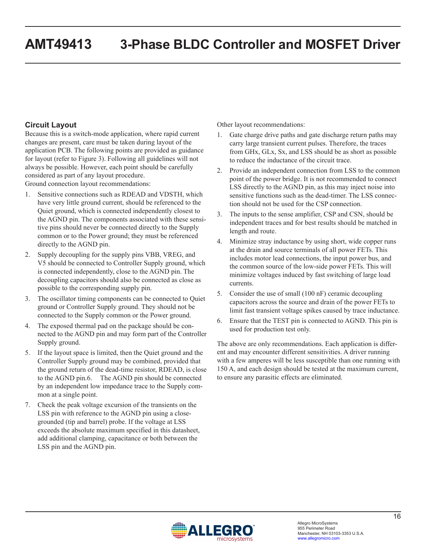#### **Circuit Layout**

Because this is a switch-mode application, where rapid current changes are present, care must be taken during layout of the application PCB. The following points are provided as guidance for layout (refer to [Figure 3](#page-16-0)). Following all guidelines will not always be possible. However, each point should be carefully considered as part of any layout procedure.

Ground connection layout recommendations:

- 1. Sensitive connections such as RDEAD and VDSTH, which have very little ground current, should be referenced to the Quiet ground, which is connected independently closest to the AGND pin. The components associated with these sensitive pins should never be connected directly to the Supply common or to the Power ground; they must be referenced directly to the AGND pin.
- 2. Supply decoupling for the supply pins VBB, VREG, and V5 should be connected to Controller Supply ground, which is connected independently, close to the AGND pin. The decoupling capacitors should also be connected as close as possible to the corresponding supply pin.
- 3. The oscillator timing components can be connected to Quiet ground or Controller Supply ground. They should not be connected to the Supply common or the Power ground.
- 4. The exposed thermal pad on the package should be connected to the AGND pin and may form part of the Controller Supply ground.
- 5. If the layout space is limited, then the Quiet ground and the Controller Supply ground may be combined, provided that the ground return of the dead-time resistor, RDEAD, is close to the AGND pin.6. The AGND pin should be connected by an independent low impedance trace to the Supply common at a single point.
- 7. Check the peak voltage excursion of the transients on the LSS pin with reference to the AGND pin using a closegrounded (tip and barrel) probe. If the voltage at LSS exceeds the absolute maximum specified in this datasheet, add additional clamping, capacitance or both between the LSS pin and the AGND pin.

Other layout recommendations:

- 1. Gate charge drive paths and gate discharge return paths may carry large transient current pulses. Therefore, the traces from GHx, GLx, Sx, and LSS should be as short as possible to reduce the inductance of the circuit trace.
- 2. Provide an independent connection from LSS to the common point of the power bridge. It is not recommended to connect LSS directly to the AGND pin, as this may inject noise into sensitive functions such as the dead-timer. The LSS connection should not be used for the CSP connection.
- 3. The inputs to the sense amplifier, CSP and CSN, should be independent traces and for best results should be matched in length and route.
- 4. Minimize stray inductance by using short, wide copper runs at the drain and source terminals of all power FETs. This includes motor lead connections, the input power bus, and the common source of the low-side power FETs. This will minimize voltages induced by fast switching of large load currents.
- 5. Consider the use of small (100 nF) ceramic decoupling capacitors across the source and drain of the power FETs to limit fast transient voltage spikes caused by trace inductance.
- 6. Ensure that the TEST pin is connected to AGND. This pin is used for production test only.

The above are only recommendations. Each application is different and may encounter different sensitivities. A driver running with a few amperes will be less susceptible than one running with 150 A, and each design should be tested at the maximum current, to ensure any parasitic effects are eliminated.

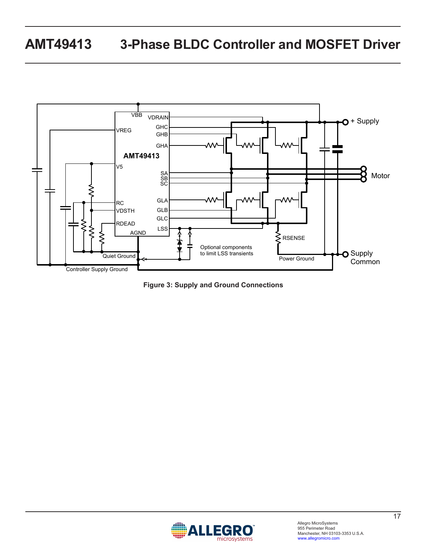

<span id="page-16-0"></span>**Figure 3: Supply and Ground Connections**

![](_page_16_Picture_3.jpeg)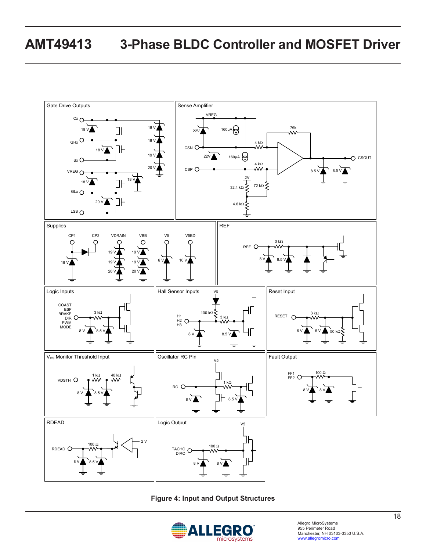![](_page_17_Figure_1.jpeg)

**Figure 4: Input and Output Structures**

![](_page_17_Picture_3.jpeg)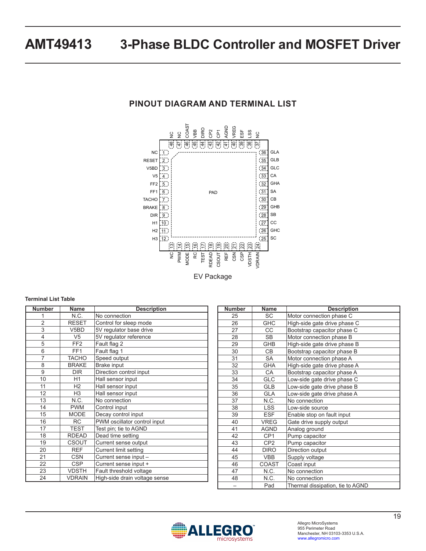## **PINOUT DIAGRAM AND TERMINAL LIST**

![](_page_18_Figure_2.jpeg)

EV Package

#### **Terminal List Table**

| <b>Number</b>  | Name              | <b>Description</b>            |
|----------------|-------------------|-------------------------------|
| 1              | N.C.              | No connection                 |
| $\overline{2}$ | <b>RESET</b>      | Control for sleep mode        |
| 3              | V <sub>5</sub> BD | 5V regulator base drive       |
| $\overline{4}$ | V <sub>5</sub>    | 5V regulator reference        |
| 5              | FF <sub>2</sub>   | Fault flag 2                  |
| 6              | FF <sub>1</sub>   | Fault flag 1                  |
| 7              | <b>TACHO</b>      | Speed output                  |
| 8              | <b>BRAKE</b>      | <b>Brake input</b>            |
| 9              | <b>DIR</b>        | Direction control input       |
| 10             | H1                | Hall sensor input             |
| 11             | H <sub>2</sub>    | Hall sensor input             |
| 12             | H <sub>3</sub>    | Hall sensor input             |
| 13             | N.C.              | No connection                 |
| 14             | <b>PWM</b>        | Control input                 |
| 15             | <b>MODE</b>       | Decay control input           |
| 16             | <b>RC</b>         | PWM oscillator control input  |
| 17             | <b>TEST</b>       | Test pin; tie to AGND         |
| 18             | <b>RDEAD</b>      | Dead time setting             |
| 19             | <b>CSOUT</b>      | Current sense output          |
| 20             | <b>RFF</b>        | Current limit setting         |
| 21             | CSN               | Current sense input -         |
| 22             | <b>CSP</b>        | Current sense input +         |
| 23             | <b>VDSTH</b>      | Fault threshold voltage       |
| 24             | <b>VDRAIN</b>     | High-side drain voltage sense |

| <b>Number</b> | Name            | <b>Description</b>               |
|---------------|-----------------|----------------------------------|
| 25            | <b>SC</b>       | Motor connection phase C         |
| 26            | <b>GHC</b>      | High-side gate drive phase C     |
| 27            | CС              | Bootstrap capacitor phase C      |
| 28            | <b>SB</b>       | Motor connection phase B         |
| 29            | <b>GHB</b>      | High-side gate drive phase B     |
| 30            | CB.             | Bootstrap capacitor phase B      |
| 31            | <b>SA</b>       | Motor connection phase A         |
| 32            | <b>GHA</b>      | High-side gate drive phase A     |
| 33            | CA              | Bootstrap capacitor phase A      |
| 34            | <b>GLC</b>      | Low-side gate drive phase C      |
| 35            | <b>GLB</b>      | Low-side gate drive phase B      |
| 36            | <b>GLA</b>      | Low-side gate drive phase A      |
| 37            | N.C.            | No connection                    |
| 38            | <b>LSS</b>      | Low-side source                  |
| 39            | <b>ESF</b>      | Enable stop on fault input       |
| 40            | <b>VREG</b>     | Gate drive supply output         |
| 41            | <b>AGND</b>     | Analog ground                    |
| 42            | CP <sub>1</sub> | Pump capacitor                   |
| 43            | CP <sub>2</sub> | Pump capacitor                   |
| 44            | <b>DIRO</b>     | Direction output                 |
| 45            | <b>VBB</b>      | Supply voltage                   |
| 46            | COAST           | Coast input                      |
| 47            | N.C.            | No connection                    |
| 48            | N.C.            | No connection                    |
|               | Pad             | Thermal dissipation, tie to AGND |

![](_page_18_Picture_7.jpeg)

Allegro MicroSystems 955 Perimeter Road Manchester, NH 03103-3353 U.S.A. www.allegromicro.com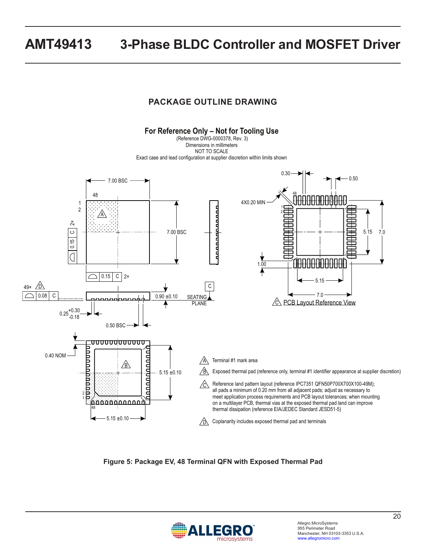### **PACKAGE OUTLINE DRAWING**

![](_page_19_Figure_2.jpeg)

**Figure 5: Package EV, 48 Terminal QFN with Exposed Thermal Pad**

![](_page_19_Picture_4.jpeg)